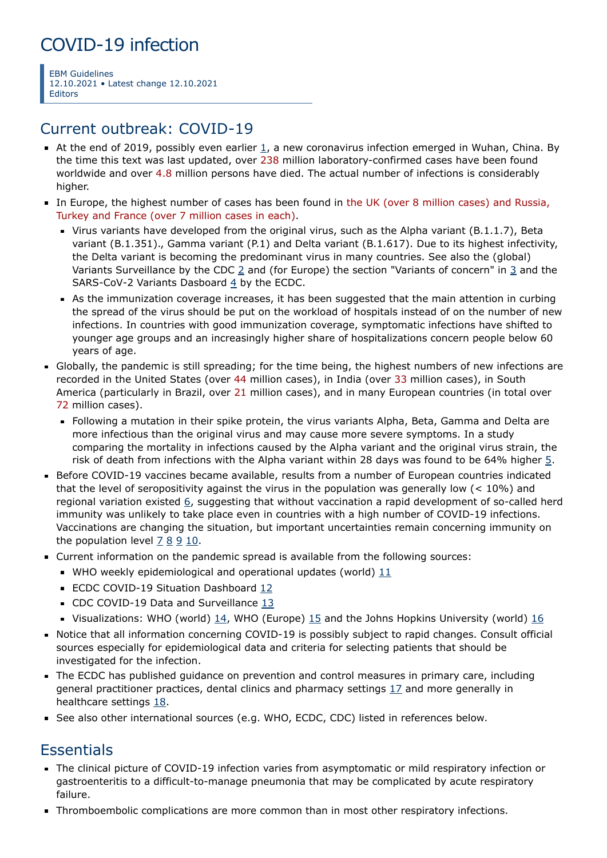# COVID-19 infection

EBM Guidelines 12.10.2021 • Latest change 12.10.2021 Editors

### Current outbreak: COVID-19

- At the end of 2019, possibly even earlier  $1$ , a new coronavirus infection emerged in Wuhan, China. By the time this text was last updated, over 238 million laboratory-confirmed cases have been found worldwide and over 4.8 million persons have died. The actual number of infections is considerably higher.
- In Europe, the highest number of cases has been found in the UK (over 8 million cases) and Russia, Turkey and France (over 7 million cases in each).
	- Virus variants have developed from the original virus, such as the Alpha variant (B.1.1.7), Beta variant (B.1.351)., Gamma variant (P.1) and Delta variant (B.1.617). Due to its highest infectivity, the Delta variant is becoming the predominant virus in many countries. See also the (global) Variants Surveillance by the CDC  $2$  and (for Europe) the section "Variants of concern" in  $3$  and the SARS-CoV-2 Variants Dasboard [4](https://www.ecdc.europa.eu/en/covid-19/situation-updates/variants-dashboard) by the ECDC.
	- As the immunization coverage increases, it has been suggested that the main attention in curbing the spread of the virus should be put on the workload of hospitals instead of on the number of new infections. In countries with good immunization coverage, symptomatic infections have shifted to younger age groups and an increasingly higher share of hospitalizations concern people below 60 years of age.
- Globally, the pandemic is still spreading; for the time being, the highest numbers of new infections are recorded in the United States (over 44 million cases), in India (over 33 million cases), in South America (particularly in Brazil, over 21 million cases), and in many European countries (in total over 72 million cases).
	- Following a mutation in their spike protein, the virus variants Alpha, Beta, Gamma and Delta are more infectious than the original virus and may cause more severe symptoms. In a study comparing the mortality in infections caused by the Alpha variant and the original virus strain, the risk of death from infections with the Alpha variant within 28 days was found to be 64% higher [5](https://www.bmj.com/content/bmj/372/bmj.n579.full.pdf).
- Before COVID-19 vaccines became available, results from a number of European countries indicated that the level of seropositivity against the virus in the population was generally low  $($  < 10%) and regional variation existed [6,](https://www.nature.com/articles/s41577-020-00451-5) suggesting that without vaccination a rapid development of so-called herd immunity was unlikely to take place even in countries with a high number of COVID-19 infections. Vaccinations are changing the situation, but important uncertainties remain concerning immunity on the population level  $78910$  $78910$  $78910$  $78910$ .
- Current information on the pandemic spread is available from the following sources:
	- WHO weekly epidemiological and operational updates (world)  $11$
	- **ECDC COVID-19 Situation Dashboard [12](https://qap.ecdc.europa.eu/public/extensions/COVID-19/COVID-19.html)**
	- CDC COVID-19 Data and Surveillance [13](https://www.cdc.gov/coronavirus/2019-ncov/cases-updates/index.html)
	- Visualizations: WHO (world) [14,](https://who.sprinklr.com/) WHO (Europe) [15](https://who.maps.arcgis.com/apps/opsdashboard/index.html#/ead3c6475654481ca51c248d52ab9c61) and the Johns Hopkins University (world) [16](https://www.arcgis.com/apps/opsdashboard/index.html#/bda7594740fd40299423467b48e9ecf6)
- Notice that all information concerning COVID-19 is possibly subject to rapid changes. Consult official sources especially for epidemiological data and criteria for selecting patients that should be investigated for the infection.
- The ECDC has published guidance on prevention and control measures in primary care, including general practitioner practices, dental clinics and pharmacy settings [17](https://www.ecdc.europa.eu/en/publications-data/covid-19-infection-prevention-and-control-primary-care) and more generally in healthcare settings [18.](https://www.ecdc.europa.eu/en/publications-data/infection-prevention-and-control-and-preparedness-covid-19-healthcare-settings)
- See also other international sources (e.g. WHO, ECDC, CDC) listed in references below.

## **Essentials**

- The clinical picture of COVID-19 infection varies from asymptomatic or mild respiratory infection or gastroenteritis to a difficult-to-manage pneumonia that may be complicated by acute respiratory failure.
- **Thromboembolic complications are more common than in most other respiratory infections.**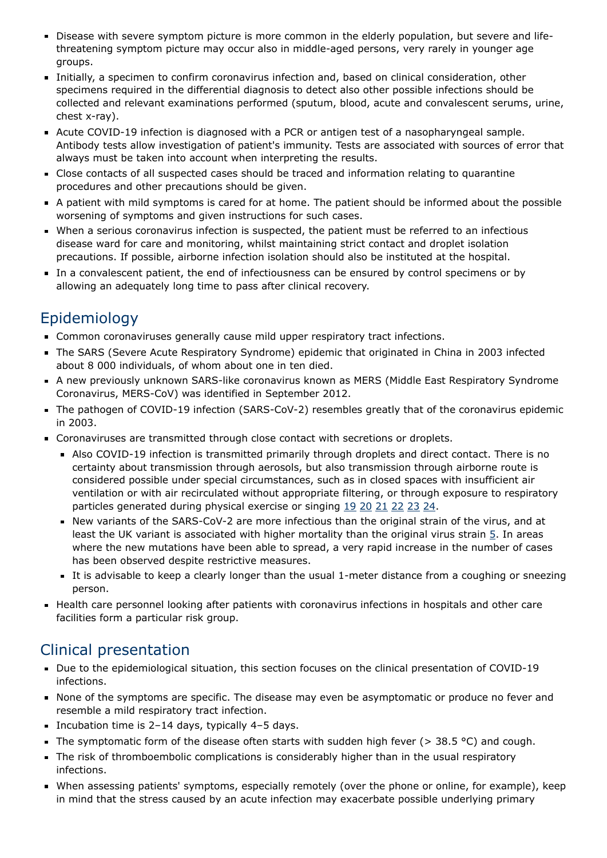- Disease with severe symptom picture is more common in the elderly population, but severe and lifethreatening symptom picture may occur also in middle-aged persons, very rarely in younger age groups.
- Initially, a specimen to confirm coronavirus infection and, based on clinical consideration, other specimens required in the differential diagnosis to detect also other possible infections should be collected and relevant examinations performed (sputum, blood, acute and convalescent serums, urine, chest x-ray).
- Acute COVID-19 infection is diagnosed with a PCR or antigen test of a nasopharyngeal sample. Antibody tests allow investigation of patient's immunity. Tests are associated with sources of error that always must be taken into account when interpreting the results.
- Close contacts of all suspected cases should be traced and information relating to quarantine procedures and other precautions should be given.
- A patient with mild symptoms is cared for at home. The patient should be informed about the possible worsening of symptoms and given instructions for such cases.
- When a serious coronavirus infection is suspected, the patient must be referred to an infectious disease ward for care and monitoring, whilst maintaining strict contact and droplet isolation precautions. If possible, airborne infection isolation should also be instituted at the hospital.
- In a convalescent patient, the end of infectiousness can be ensured by control specimens or by allowing an adequately long time to pass after clinical recovery.

## Epidemiology

- Common coronaviruses generally cause mild upper respiratory tract infections.
- The SARS (Severe Acute Respiratory Syndrome) epidemic that originated in China in 2003 infected about 8 000 individuals, of whom about one in ten died.
- A new previously unknown SARS-like coronavirus known as MERS (Middle East Respiratory Syndrome Coronavirus, MERS-CoV) was identified in September 2012.
- The pathogen of COVID-19 infection (SARS-CoV-2) resembles greatly that of the coronavirus epidemic in 2003.
- Coronaviruses are transmitted through close contact with secretions or droplets.
	- Also COVID-19 infection is transmitted primarily through droplets and direct contact. There is no certainty about transmission through aerosols, but also transmission through airborne route is considered possible under special circumstances, such as in closed spaces with insufficient air ventilation or with air recirculated without appropriate filtering, or through exposure to respiratory particles generated during physical exercise or singing [19](https://jamanetwork.com/journals/jamainternalmedicine/article-abstract/2770172) [20](https://www.scientificamerican.com/article/how-coronavirus-spreads-through-the-air-what-we-know-so-far1/) [21](https://www.cdc.gov/coronavirus/2019-ncov/more/scientific-brief-sars-cov-2.html) [22](https://www.cdc.gov/coronavirus/2019-ncov/prevent-getting-sick/how-covid-spreads.html) [23](https://jamanetwork.com/journals/jama/fullarticle/2763852) [24](https://www.ecdc.europa.eu/en/publications-data/heating-ventilation-air-conditioning-systems-covid-19).
	- New variants of the SARS-CoV-2 are more infectious than the original strain of the virus, and at least the UK variant is associated with higher mortality than the original virus strain [5.](https://www.bmj.com/content/bmj/372/bmj.n579.full.pdf) In areas where the new mutations have been able to spread, a very rapid increase in the number of cases has been observed despite restrictive measures.
	- It is advisable to keep a clearly longer than the usual 1-meter distance from a coughing or sneezing person.
- Health care personnel looking after patients with coronavirus infections in hospitals and other care facilities form a particular risk group.

## Clinical presentation

- Due to the epidemiological situation, this section focuses on the clinical presentation of COVID-19 infections.
- None of the symptoms are specific. The disease may even be asymptomatic or produce no fever and resemble a mild respiratory tract infection.
- Incubation time is  $2-14$  days, typically  $4-5$  days.
- The symptomatic form of the disease often starts with sudden high fever ( $>$  38.5 °C) and cough.
- The risk of thromboembolic complications is considerably higher than in the usual respiratory infections.
- When assessing patients' symptoms, especially remotely (over the phone or online, for example), keep in mind that the stress caused by an acute infection may exacerbate possible underlying primary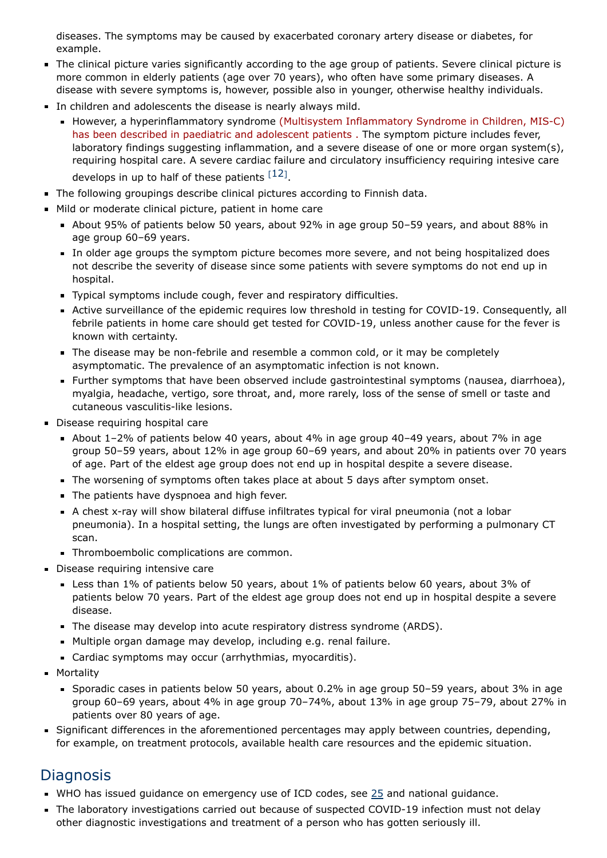diseases. The symptoms may be caused by exacerbated coronary artery disease or diabetes, for example.

- The clinical picture varies significantly according to the age group of patients. Severe clinical picture is more common in elderly patients (age over 70 years), who often have some primary diseases. A disease with severe symptoms is, however, possible also in younger, otherwise healthy individuals.
- In children and adolescents the disease is nearly always mild.
	- **However, a hyperinflammatory syndrome (Multisystem Inflammatory Syndrome in Children, MIS-C)** has been described in paediatric and adolescent patients . The symptom picture includes fever, laboratory findings suggesting inflammation, and a severe disease of one or more organ system(s), requiring hospital care. A severe cardiac failure and circulatory insufficiency requiring intesive care develops in up to half of these patients  $[12]$  $[12]$  $[12]$ .
- The following groupings describe clinical pictures according to Finnish data.
- Mild or moderate clinical picture, patient in home care
	- About 95% of patients below 50 years, about 92% in age group 50–59 years, and about 88% in age group 60–69 years.
	- In older age groups the symptom picture becomes more severe, and not being hospitalized does not describe the severity of disease since some patients with severe symptoms do not end up in hospital.
	- Typical symptoms include cough, fever and respiratory difficulties.
	- Active surveillance of the epidemic requires low threshold in testing for COVID-19. Consequently, all febrile patients in home care should get tested for COVID-19, unless another cause for the fever is known with certainty.
	- The disease may be non-febrile and resemble a common cold, or it may be completely asymptomatic. The prevalence of an asymptomatic infection is not known.
	- Further symptoms that have been observed include gastrointestinal symptoms (nausea, diarrhoea), myalgia, headache, vertigo, sore throat, and, more rarely, loss of the sense of smell or taste and cutaneous vasculitis-like lesions.
- Disease requiring hospital care
	- About 1–2% of patients below 40 years, about 4% in age group 40–49 years, about 7% in age group 50–59 years, about 12% in age group 60–69 years, and about 20% in patients over 70 years of age. Part of the eldest age group does not end up in hospital despite a severe disease.
	- The worsening of symptoms often takes place at about 5 days after symptom onset.
	- The patients have dyspnoea and high fever.
	- A chest x-ray will show bilateral diffuse infiltrates typical for viral pneumonia (not a lobar pneumonia). In a hospital setting, the lungs are often investigated by performing a pulmonary CT scan.
	- **Thromboembolic complications are common.**
- **Disease requiring intensive care** 
	- Less than 1% of patients below 50 years, about 1% of patients below 60 years, about 3% of patients below 70 years. Part of the eldest age group does not end up in hospital despite a severe disease.
	- The disease may develop into acute respiratory distress syndrome (ARDS).
	- Multiple organ damage may develop, including e.g. renal failure.
	- Cardiac symptoms may occur (arrhythmias, myocarditis).
- **Mortality** 
	- Sporadic cases in patients below 50 years, about 0.2% in age group 50–59 years, about 3% in age group 60–69 years, about 4% in age group 70–74%, about 13% in age group 75–79, about 27% in patients over 80 years of age.
- Significant differences in the aforementioned percentages may apply between countries, depending, for example, on treatment protocols, available health care resources and the epidemic situation.

## **Diagnosis**

- WHO has issued guidance on emergency use of ICD codes, see  $25$  and national guidance.
- The laboratory investigations carried out because of suspected COVID-19 infection must not delay other diagnostic investigations and treatment of a person who has gotten seriously ill.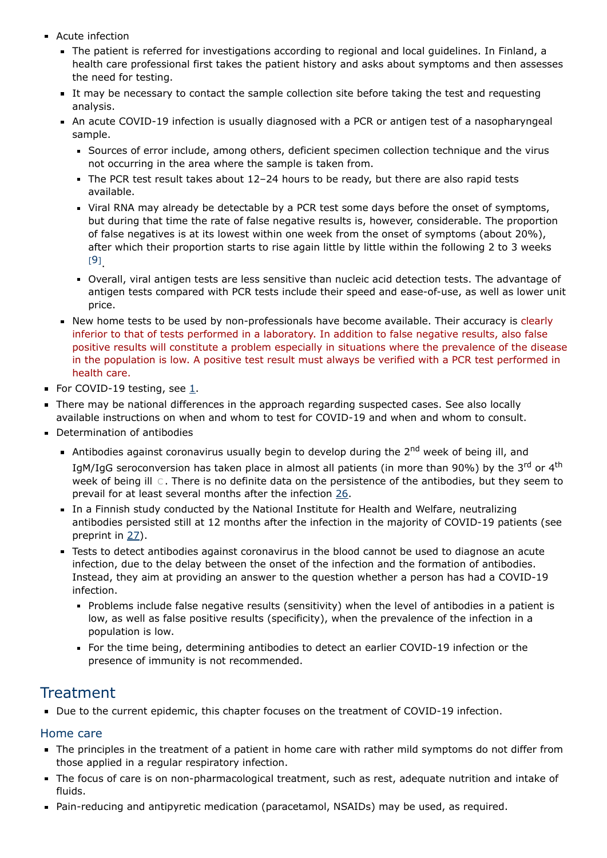- Acute infection
	- The patient is referred for investigations according to regional and local guidelines. In Finland, a health care professional first takes the patient history and asks about symptoms and then assesses the need for testing.
	- It may be necessary to contact the sample collection site before taking the test and requesting analysis.
	- An acute COVID-19 infection is usually diagnosed with a PCR or antigen test of a nasopharyngeal sample.
		- Sources of error include, among others, deficient specimen collection technique and the virus not occurring in the area where the sample is taken from.
		- The PCR test result takes about  $12-24$  hours to be ready, but there are also rapid tests available.
		- Viral RNA may already be detectable by a PCR test some days before the onset of symptoms, but during that time the rate of false negative results is, however, considerable. The proportion of false negatives is at its lowest within one week from the onset of symptoms (about 20%), after which their proportion starts to rise again little by little within the following 2 to 3 weeks [[9](#page-10-1)] .
		- Overall, viral antigen tests are less sensitive than nucleic acid detection tests. The advantage of antigen tests compared with PCR tests include their speed and ease-of-use, as well as lower unit price.
	- New home tests to be used by non-professionals have become available. Their accuracy is clearly inferior to that of tests performed in a laboratory. In addition to false negative results, also false positive results will constitute a problem especially in situations where the prevalence of the disease in the population is low. A positive test result must always be verified with a PCR test performed in health care.
- For COVID-19 testing, see [1.](#page-5-0)
- There may be national differences in the approach regarding suspected cases. See also locally available instructions on when and whom to test for COVID-19 and when and whom to consult.
- Determination of antibodies
	- Antibodies against coronavirus usually begin to develop during the  $2^{nd}$  week of being ill, and IgM/IgG seroconversion has taken place in almost all patients (in more than 90%) by the 3<sup>rd</sup> or 4<sup>th</sup> week of being ill [C](https://www.ebm-guidelines.com/dtk/ebmg/avaa?p_artikkeli=evd07748). There is no definite data on the persistence of the antibodies, but they seem to prevail for at least several months after the infection [26.](https://pubmed.ncbi.nlm.nih.gov/33115920/)
	- In a Finnish study conducted by the National Institute for Health and Welfare, neutralizing antibodies persisted still at 12 months after the infection in the majority of COVID-19 patients (see preprint in [27\)](https://www.medrxiv.org/content/10.1101/2021.07.13.21260426v1.full#T3).
	- Tests to detect antibodies against coronavirus in the blood cannot be used to diagnose an acute infection, due to the delay between the onset of the infection and the formation of antibodies. Instead, they aim at providing an answer to the question whether a person has had a COVID-19 infection.
		- Problems include false negative results (sensitivity) when the level of antibodies in a patient is low, as well as false positive results (specificity), when the prevalence of the infection in a population is low.
		- For the time being, determining antibodies to detect an earlier COVID-19 infection or the presence of immunity is not recommended.

### **Treatment**

Due to the current epidemic, this chapter focuses on the treatment of COVID-19 infection.

### Home care

- The principles in the treatment of a patient in home care with rather mild symptoms do not differ from those applied in a regular respiratory infection.
- The focus of care is on non-pharmacological treatment, such as rest, adequate nutrition and intake of fluids.
- Pain-reducing and antipyretic medication (paracetamol, NSAIDs) may be used, as required.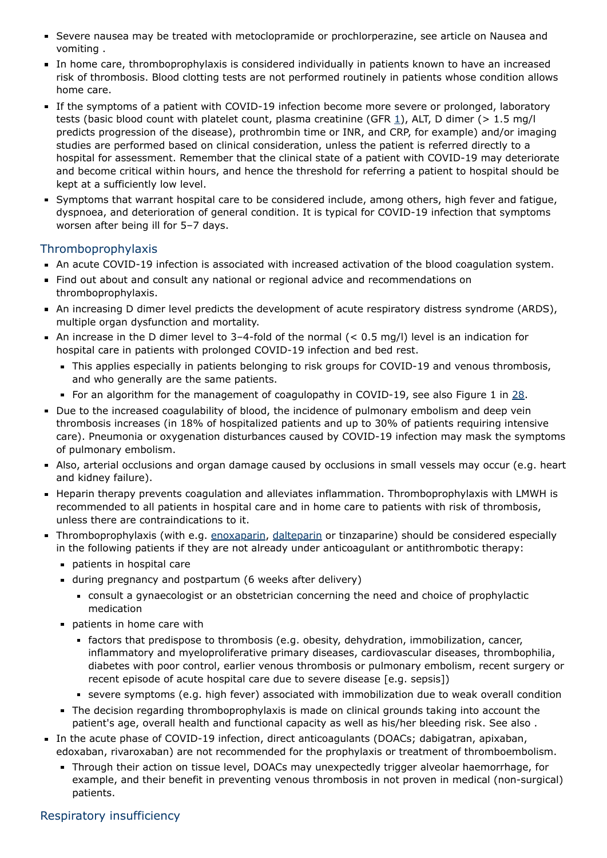- Severe nausea may be treated with metoclopramide or prochlorperazine, see article on Nausea and vomiting .
- In home care, thromboprophylaxis is considered individually in patients known to have an increased risk of thrombosis. Blood clotting tests are not performed routinely in patients whose condition allows home care.
- If the symptoms of a patient with COVID-19 infection become more severe or prolonged, laboratory tests (basic blood count with platelet count, plasma creatinine (GFR [1\)](https://www.ebm-guidelines.com/dtk/ebmg/avaa?p_artikkeli=pge00006), ALT, D dimer (> 1.5 mg/l predicts progression of the disease), prothrombin time or INR, and CRP, for example) and/or imaging studies are performed based on clinical consideration, unless the patient is referred directly to a hospital for assessment. Remember that the clinical state of a patient with COVID-19 may deteriorate and become critical within hours, and hence the threshold for referring a patient to hospital should be kept at a sufficiently low level.
- Symptoms that warrant hospital care to be considered include, among others, high fever and fatigue, dyspnoea, and deterioration of general condition. It is typical for COVID-19 infection that symptoms worsen after being ill for 5–7 days.

### Thromboprophylaxis

- An acute COVID-19 infection is associated with increased activation of the blood coagulation system.
- Find out about and consult any national or regional advice and recommendations on thromboprophylaxis.
- An increasing D dimer level predicts the development of acute respiratory distress syndrome (ARDS), multiple organ dysfunction and mortality.
- An increase in the D dimer level to 3-4-fold of the normal  $(< 0.5$  mg/l) level is an indication for hospital care in patients with prolonged COVID-19 infection and bed rest.
	- This applies especially in patients belonging to risk groups for COVID-19 and venous thrombosis, and who generally are the same patients.
	- For an algorithm for the management of coagulopathy in COVID-19, see also Figure 1 in  $28$ .
- Due to the increased coagulability of blood, the incidence of pulmonary embolism and deep vein thrombosis increases (in 18% of hospitalized patients and up to 30% of patients requiring intensive care). Pneumonia or oxygenation disturbances caused by COVID-19 infection may mask the symptoms of pulmonary embolism.
- Also, arterial occlusions and organ damage caused by occlusions in small vessels may occur (e.g. heart and kidney failure).
- **Heparin therapy prevents coagulation and alleviates inflammation. Thromboprophylaxis with LMWH is** recommended to all patients in hospital care and in home care to patients with risk of thrombosis, unless there are contraindications to it.
- Thromboprophylaxis (with e.g. [enoxaparin,](https://www.terveysportti.fi/apps/laake/laakeryhma/B01AB05) [dalteparin](https://www.terveysportti.fi/apps/laake/laakeryhma/B01AB04) or tinzaparine) should be considered especially in the following patients if they are not already under anticoagulant or antithrombotic therapy:
	- **patients in hospital care**
	- during pregnancy and postpartum (6 weeks after delivery)
		- consult a gynaecologist or an obstetrician concerning the need and choice of prophylactic medication
	- **patients in home care with** 
		- factors that predispose to thrombosis (e.g. obesity, dehydration, immobilization, cancer, inflammatory and myeloproliferative primary diseases, cardiovascular diseases, thrombophilia, diabetes with poor control, earlier venous thrombosis or pulmonary embolism, recent surgery or recent episode of acute hospital care due to severe disease [e.g. sepsis])
		- severe symptoms (e.g. high fever) associated with immobilization due to weak overall condition
	- The decision regarding thromboprophylaxis is made on clinical grounds taking into account the patient's age, overall health and functional capacity as well as his/her bleeding risk. See also .
- In the acute phase of COVID-19 infection, direct anticoagulants (DOACs; dabigatran, apixaban, edoxaban, rivaroxaban) are not recommended for the prophylaxis or treatment of thromboembolism.
	- Through their action on tissue level, DOACs may unexpectedly trigger alveolar haemorrhage, for example, and their benefit in preventing venous thrombosis in not proven in medical (non-surgical) patients.

### Respiratory insufficiency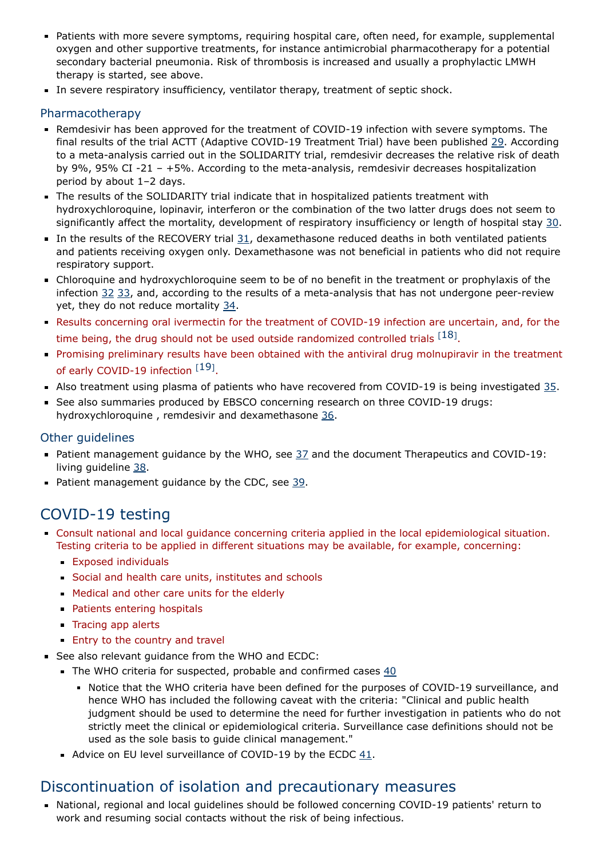- Patients with more severe symptoms, requiring hospital care, often need, for example, supplemental oxygen and other supportive treatments, for instance antimicrobial pharmacotherapy for a potential secondary bacterial pneumonia. Risk of thrombosis is increased and usually a prophylactic LMWH therapy is started, see above.
- In severe respiratory insufficiency, ventilator therapy, treatment of septic shock.

#### Pharmacotherapy

- Remdesivir has been approved for the treatment of COVID-19 infection with severe symptoms. The final results of the trial ACTT (Adaptive COVID-19 Treatment Trial) have been published [29](https://www.nejm.org/doi/full/10.1056/NEJMoa2007764). According to a meta-analysis carried out in the SOLIDARITY trial, remdesivir decreases the relative risk of death by 9%, 95% CI -21 – +5%. According to the meta-analysis, remdesivir decreases hospitalization period by about 1–2 days.
- The results of the SOLIDARITY trial indicate that in hospitalized patients treatment with hydroxychloroquine, lopinavir, interferon or the combination of the two latter drugs does not seem to significantly affect the mortality, development of respiratory insufficiency or length of hospital stay [30](https://www.nejm.org/doi/pdf/10.1056/NEJMoa2023184).
- In the results of the RECOVERY trial  $31$ , dexamethasone reduced deaths in both ventilated patients and patients receiving oxygen only. Dexamethasone was not beneficial in patients who did not require respiratory support.
- Chloroquine and hydroxychloroquine seem to be of no benefit in the treatment or prophylaxis of the infection [32](https://www.nejm.org/doi/full/10.1056/NEJMoa2022926) [33](https://www.who.int/news-room/detail/04-07-2020-who-discontinues-hydroxychloroquine-and-lopinavir-ritonavir-treatment-arms-for-covid-19), and, according to the results of a meta-analysis that has not undergone peer-review yet, they do not reduce mortality [34](https://www.nature.com/articles/s41467-021-22446-z).
- Results concerning oral ivermectin for the treatment of COVID-19 infection are uncertain, and, for the time being, the drug should not be used outside randomized controlled trials  $^{[18]}$  $^{[18]}$  $^{[18]}$ .
- Promising preliminary results have been obtained with the antiviral drug molnupiravir in the treatment of early COVID-[19](#page-11-0) infection [19].
- Also treatment using plasma of patients who have recovered from COVID-19 is being investigated  $35$ .
- See also summaries produced by EBSCO concerning research on three COVID-19 drugs: hydroxychloroquine, remdesivir and dexamethasone [36.](https://gps.health/COVID19TrialResults/)

### Other guidelines

- Patient management guidance by the WHO, see  $37$  and the document Therapeutics and COVID-19: living guideline [38](https://www.who.int/publications/i/item/therapeutics-and-covid-19-living-guideline).
- Patient management guidance by the CDC, see  $39$ .

### <span id="page-5-0"></span>COVID-19 testing

- Consult national and local guidance concerning criteria applied in the local epidemiological situation. Testing criteria to be applied in different situations may be available, for example, concerning:
	- **Exposed individuals**
	- Social and health care units, institutes and schools
	- **Medical and other care units for the elderly**
	- **Patients entering hospitals**
	- **Tracing app alerts**
	- **Entry to the country and travel**
- See also relevant guidance from the WHO and ECDC:
	- The WHO criteria for suspected, probable and confirmed cases  $40$ 
		- Notice that the WHO criteria have been defined for the purposes of COVID-19 surveillance, and hence WHO has included the following caveat with the criteria: "Clinical and public health judgment should be used to determine the need for further investigation in patients who do not strictly meet the clinical or epidemiological criteria. Surveillance case definitions should not be used as the sole basis to guide clinical management."
	- Advice on EU level surveillance of COVID-19 by the ECDC [41.](https://www.ecdc.europa.eu/en/covid-19/surveillance)

### Discontinuation of isolation and precautionary measures

National, regional and local guidelines should be followed concerning COVID-19 patients' return to work and resuming social contacts without the risk of being infectious.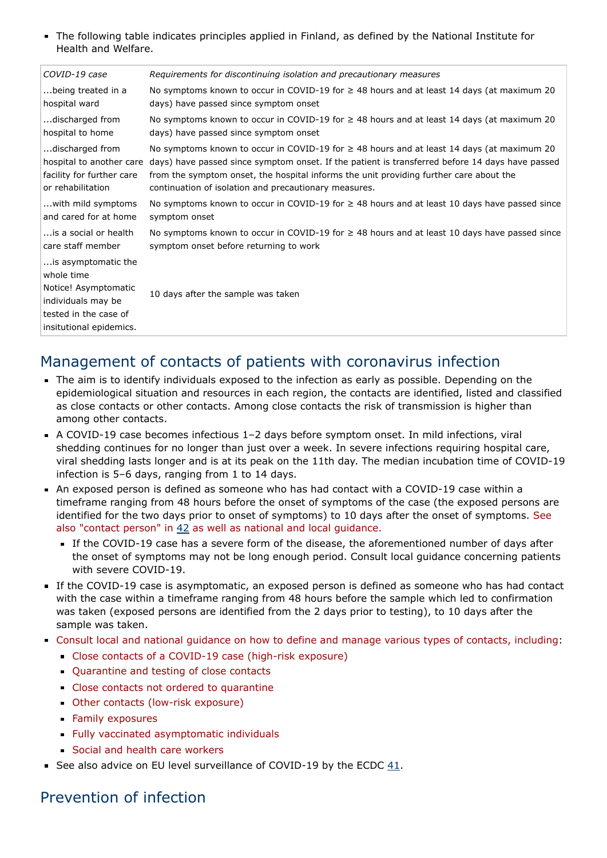The following table indicates principles applied in Finland, as defined by the National Institute for Health and Welfare.

| COVID-19 case                                                                                                                       | Requirements for discontinuing isolation and precautionary measures                               |
|-------------------------------------------------------------------------------------------------------------------------------------|---------------------------------------------------------------------------------------------------|
| being treated in a                                                                                                                  | No symptoms known to occur in COVID-19 for $\geq$ 48 hours and at least 14 days (at maximum 20    |
| hospital ward                                                                                                                       | days) have passed since symptom onset                                                             |
| discharged from                                                                                                                     | No symptoms known to occur in COVID-19 for $\geq$ 48 hours and at least 14 days (at maximum 20    |
| hospital to home                                                                                                                    | days) have passed since symptom onset                                                             |
| discharged from                                                                                                                     | No symptoms known to occur in COVID-19 for $\geq$ 48 hours and at least 14 days (at maximum 20    |
| hospital to another care                                                                                                            | days) have passed since symptom onset. If the patient is transferred before 14 days have passed   |
| facility for further care                                                                                                           | from the symptom onset, the hospital informs the unit providing further care about the            |
| or rehabilitation                                                                                                                   | continuation of isolation and precautionary measures.                                             |
| with mild symptoms                                                                                                                  | No symptoms known to occur in COVID-19 for ≥ 48 hours and at least 10 days have passed since      |
| and cared for at home                                                                                                               | symptom onset                                                                                     |
| is a social or health                                                                                                               | No symptoms known to occur in COVID-19 for $\geq$ 48 hours and at least 10 days have passed since |
| care staff member                                                                                                                   | symptom onset before returning to work                                                            |
| is asymptomatic the<br>whole time<br>Notice! Asymptomatic<br>individuals may be<br>tested in the case of<br>insitutional epidemics. | 10 days after the sample was taken                                                                |
|                                                                                                                                     |                                                                                                   |

### Management of contacts of patients with coronavirus infection

- The aim is to identify individuals exposed to the infection as early as possible. Depending on the epidemiological situation and resources in each region, the contacts are identified, listed and classified as close contacts or other contacts. Among close contacts the risk of transmission is higher than among other contacts.
- A COVID-19 case becomes infectious 1–2 days before symptom onset. In mild infections, viral shedding continues for no longer than just over a week. In severe infections requiring hospital care, viral shedding lasts longer and is at its peak on the 11th day. The median incubation time of COVID-19 infection is 5–6 days, ranging from 1 to 14 days.
- An exposed person is defined as someone who has had contact with a COVID-19 case within a timeframe ranging from 48 hours before the onset of symptoms of the case (the exposed persons are identified for the two days prior to onset of symptoms) to 10 days after the onset of symptoms. See also "contact person" in [42](https://www.ecdc.europa.eu/en/covid-19-contact-tracing-public-health-management) as well as national and local guidance.
	- If the COVID-19 case has a severe form of the disease, the aforementioned number of days after the onset of symptoms may not be long enough period. Consult local guidance concerning patients with severe COVID-19.
- If the COVID-19 case is asymptomatic, an exposed person is defined as someone who has had contact with the case within a timeframe ranging from 48 hours before the sample which led to confirmation was taken (exposed persons are identified from the 2 days prior to testing), to 10 days after the sample was taken.
- Consult local and national guidance on how to define and manage various types of contacts, including:
	- Close contacts of a COVID-19 case (high-risk exposure)
	- Quarantine and testing of close contacts
	- Close contacts not ordered to quarantine
	- Other contacts (low-risk exposure)
	- **Family exposures**
	- Fully vaccinated asymptomatic individuals
	- Social and health care workers
- See also advice on EU level surveillance of COVID-19 by the ECDC [41](https://www.ecdc.europa.eu/en/covid-19/surveillance).

### Prevention of infection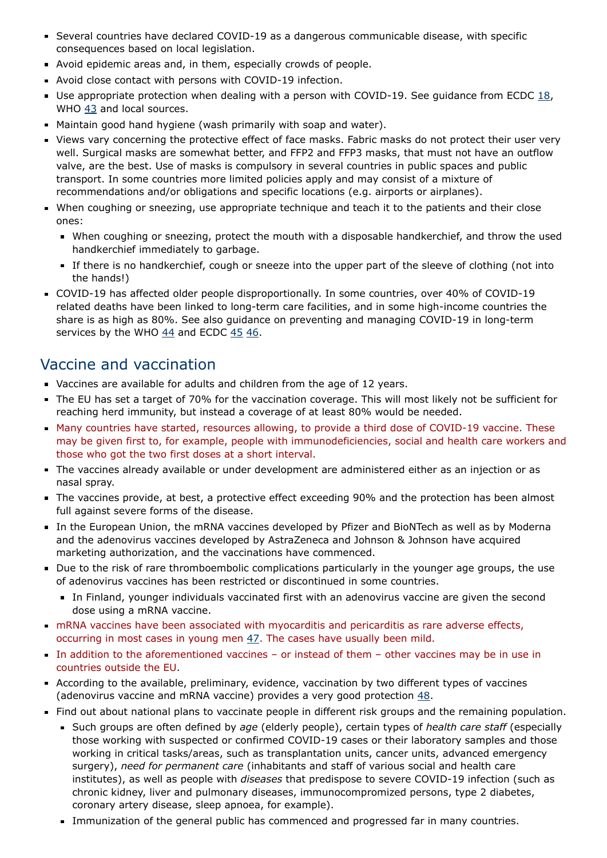- Several countries have declared COVID-19 as a dangerous communicable disease, with specific consequences based on local legislation.
- Avoid epidemic areas and, in them, especially crowds of people.
- Avoid close contact with persons with COVID-19 infection.
- Use appropriate protection when dealing with a person with COVID-19. See quidance from ECDC  $18$ , WHO [43](https://www.who.int/teams/health-product-policy-and-standards/assistive-and-medical-technology/medical-devices/ppe/ppe-covid) and local sources.
- Maintain good hand hygiene (wash primarily with soap and water).
- Views vary concerning the protective effect of face masks. Fabric masks do not protect their user very well. Surgical masks are somewhat better, and FFP2 and FFP3 masks, that must not have an outflow valve, are the best. Use of masks is compulsory in several countries in public spaces and public transport. In some countries more limited policies apply and may consist of a mixture of recommendations and/or obligations and specific locations (e.g. airports or airplanes).
- When coughing or sneezing, use appropriate technique and teach it to the patients and their close ones:
	- When coughing or sneezing, protect the mouth with a disposable handkerchief, and throw the used handkerchief immediately to garbage.
	- If there is no handkerchief, cough or sneeze into the upper part of the sleeve of clothing (not into the hands!)
- COVID-19 has affected older people disproportionally. In some countries, over 40% of COVID-19 related deaths have been linked to long-term care facilities, and in some high-income countries the share is as high as 80%. See also guidance on preventing and managing COVID-19 in long-term services by the WHO  $44$  and ECDC  $45$   $46$ .

### Vaccine and vaccination

- Vaccines are available for adults and children from the age of 12 years.
- The EU has set a target of 70% for the vaccination coverage. This will most likely not be sufficient for reaching herd immunity, but instead a coverage of at least 80% would be needed.
- Many countries have started, resources allowing, to provide a third dose of COVID-19 vaccine. These may be given first to, for example, people with immunodeficiencies, social and health care workers and those who got the two first doses at a short interval.
- The vaccines already available or under development are administered either as an injection or as nasal spray.
- The vaccines provide, at best, a protective effect exceeding 90% and the protection has been almost full against severe forms of the disease.
- In the European Union, the mRNA vaccines developed by Pfizer and BioNTech as well as by Moderna and the adenovirus vaccines developed by AstraZeneca and Johnson & Johnson have acquired marketing authorization, and the vaccinations have commenced.
- Due to the risk of rare thromboembolic complications particularly in the younger age groups, the use of adenovirus vaccines has been restricted or discontinued in some countries.
	- In Finland, younger individuals vaccinated first with an adenovirus vaccine are given the second dose using a mRNA vaccine.
- mRNA vaccines have been associated with myocarditis and pericarditis as rare adverse effects, occurring in most cases in young men [47](https://www.ema.europa.eu/en/news/comirnaty-spikevax-possible-link-very-rare-cases-myocarditis-pericarditis). The cases have usually been mild.
- In addition to the aforementioned vaccines or instead of them other vaccines may be in use in countries outside the EU.
- According to the available, preliminary, evidence, vaccination by two different types of vaccines (adenovirus vaccine and mRNA vaccine) provides a very good protection [48.](https://www.nature.com/articles/d41586-021-01359-3)
- Find out about national plans to vaccinate people in different risk groups and the remaining population.
	- Such groups are often defined by age (elderly people), certain types of health care staff (especially those working with suspected or confirmed COVID-19 cases or their laboratory samples and those working in critical tasks/areas, such as transplantation units, cancer units, advanced emergency surgery), need for permanent care (inhabitants and staff of various social and health care institutes), as well as people with diseases that predispose to severe COVID-19 infection (such as chronic kidney, liver and pulmonary diseases, immunocompromized persons, type 2 diabetes, coronary artery disease, sleep apnoea, for example).
	- Immunization of the general public has commenced and progressed far in many countries.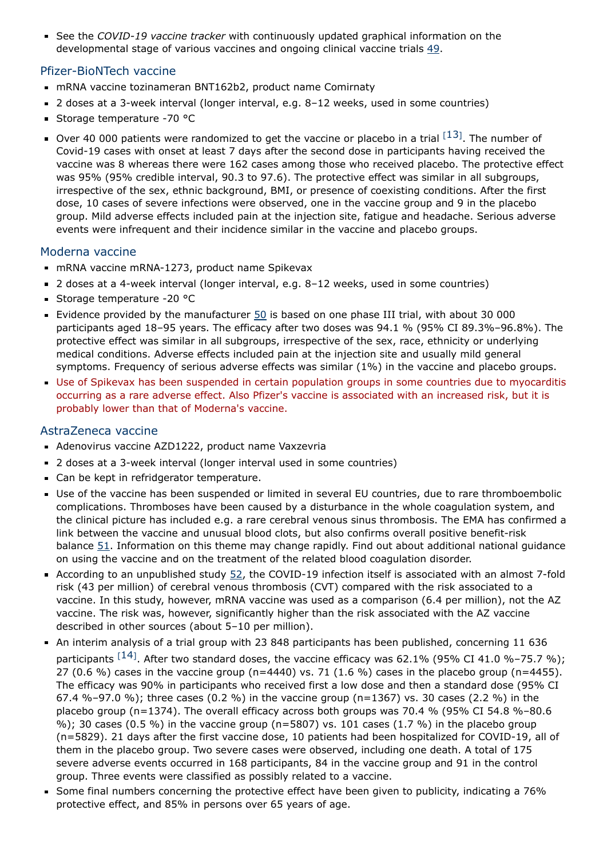See the COVID-19 vaccine tracker with continuously updated graphical information on the developmental stage of various vaccines and ongoing clinical vaccine trials [49](https://vac-lshtm.shinyapps.io/ncov_vaccine_landscape/).

#### Pfizer-BioNTech vaccine

- mRNA vaccine tozinameran BNT162b2, product name Comirnaty
- 2 doses at a 3-week interval (longer interval, e.g. 8-12 weeks, used in some countries)
- Storage temperature -70 °C
- Over 40 000 patients were randomized to get the vaccine or placebo in a trial  $^{[13]}$  $^{[13]}$  $^{[13]}$ . The number of Covid-19 cases with onset at least 7 days after the second dose in participants having received the vaccine was 8 whereas there were 162 cases among those who received placebo. The protective effect was 95% (95% credible interval, 90.3 to 97.6). The protective effect was similar in all subgroups, irrespective of the sex, ethnic background, BMI, or presence of coexisting conditions. After the first dose, 10 cases of severe infections were observed, one in the vaccine group and 9 in the placebo group. Mild adverse effects included pain at the injection site, fatigue and headache. Serious adverse events were infrequent and their incidence similar in the vaccine and placebo groups.

#### Moderna vaccine

- mRNA vaccine mRNA-1273, product name Spikevax
- 2 doses at a 4-week interval (longer interval, e.g. 8-12 weeks, used in some countries)
- Storage temperature -20 °C
- Evidence provided by the manufacturer  $50$  is based on one phase III trial, with about 30 000 participants aged 18–95 years. The efficacy after two doses was 94.1 % (95% CI 89.3%–96.8%). The protective effect was similar in all subgroups, irrespective of the sex, race, ethnicity or underlying medical conditions. Adverse effects included pain at the injection site and usually mild general symptoms. Frequency of serious adverse effects was similar (1%) in the vaccine and placebo groups.
- Use of Spikevax has been suspended in certain population groups in some countries due to myocarditis occurring as a rare adverse effect. Also Pfizer's vaccine is associated with an increased risk, but it is probably lower than that of Moderna's vaccine.

#### AstraZeneca vaccine

- Adenovirus vaccine AZD1222, product name Vaxzevria
- 2 doses at a 3-week interval (longer interval used in some countries)
- Can be kept in refridgerator temperature.
- Use of the vaccine has been suspended or limited in several EU countries, due to rare thromboembolic complications. Thromboses have been caused by a disturbance in the whole coagulation system, and the clinical picture has included e.g. a rare cerebral venous sinus thrombosis. The EMA has confirmed a link between the vaccine and unusual blood clots, but also confirms overall positive benefit-risk balance [51.](https://www.ema.europa.eu/en/news/astrazenecas-covid-19-vaccine-ema-finds-possible-link-very-rare-cases-unusual-blood-clots-low-blood) Information on this theme may change rapidly. Find out about additional national guidance on using the vaccine and on the treatment of the related blood coagulation disorder.
- According to an unpublished study [52,](https://osf.io/a9jdq/) the COVID-19 infection itself is associated with an almost 7-fold risk (43 per million) of cerebral venous thrombosis (CVT) compared with the risk associated to a vaccine. In this study, however, mRNA vaccine was used as a comparison (6.4 per million), not the AZ vaccine. The risk was, however, significantly higher than the risk associated with the AZ vaccine described in other sources (about 5–10 per million).
- An interim analysis of a trial group with 23 848 participants has been published, concerning 11 636 participants  $^{[14]}$  $^{[14]}$  $^{[14]}$ . After two standard doses, the vaccine efficacy was 62.1% (95% CI 41.0 %–75.7 %); 27 (0.6 %) cases in the vaccine group (n=4440) vs. 71 (1.6 %) cases in the placebo group (n=4455). The efficacy was 90% in participants who received first a low dose and then a standard dose (95% CI 67.4 %–97.0 %); three cases (0.2 %) in the vaccine group (n=1367) vs. 30 cases (2.2 %) in the placebo group (n=1374). The overall efficacy across both groups was 70.4 % (95% CI 54.8 %–80.6 %); 30 cases (0.5 %) in the vaccine group (n=5807) vs. 101 cases (1.7 %) in the placebo group (n=5829). 21 days after the first vaccine dose, 10 patients had been hospitalized for COVID-19, all of them in the placebo group. Two severe cases were observed, including one death. A total of 175 severe adverse events occurred in 168 participants, 84 in the vaccine group and 91 in the control group. Three events were classified as possibly related to a vaccine.
- Some final numbers concerning the protective effect have been given to publicity, indicating a 76% protective effect, and 85% in persons over 65 years of age.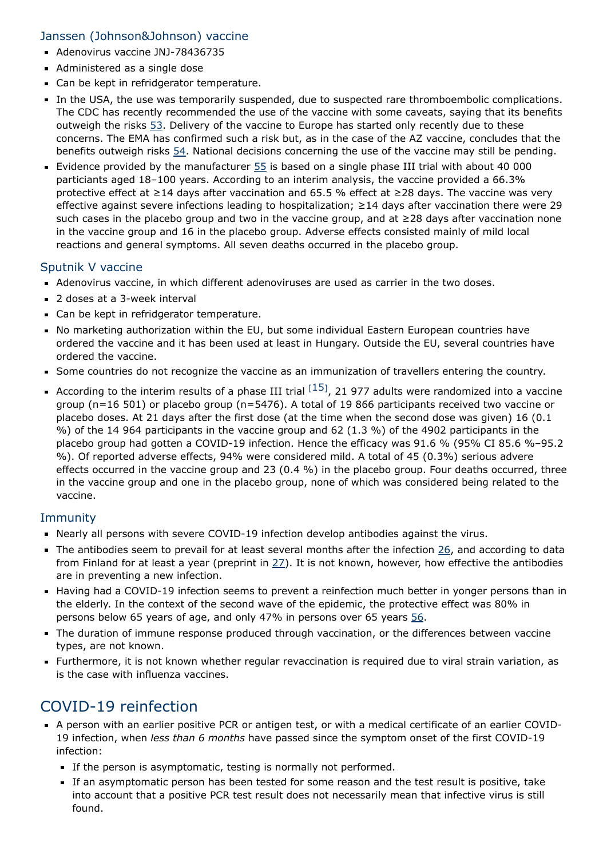#### Janssen (Johnson&Johnson) vaccine

- Adenovirus vaccine JNJ-78436735
- Administered as a single dose
- Can be kept in refridgerator temperature.
- In the USA, the use was temporarily suspended, due to suspected rare thromboembolic complications. The CDC has recently recommended the use of the vaccine with some caveats, saying that its benefits outweigh the risks  $53$ . Delivery of the vaccine to Europe has started only recently due to these concerns. The EMA has confirmed such a risk but, as in the case of the AZ vaccine, concludes that the benefits outweigh risks [54](https://www.ema.europa.eu/en/news/covid-19-vaccine-janssen-ema-finds-possible-link-very-rare-cases-unusual-blood-clots-low-blood). National decisions concerning the use of the vaccine may still be pending.
- Evidence provided by the manufacturer  $55$  is based on a single phase III trial with about 40 000 particiants aged 18–100 years. According to an interim analysis, the vaccine provided a 66.3% protective effect at ≥14 days after vaccination and 65.5 % effect at ≥28 days. The vaccine was very effective against severe infections leading to hospitalization;  $\geq$  14 days after vaccination there were 29 such cases in the placebo group and two in the vaccine group, and at ≥28 days after vaccination none in the vaccine group and 16 in the placebo group. Adverse effects consisted mainly of mild local reactions and general symptoms. All seven deaths occurred in the placebo group.

#### Sputnik V vaccine

- Adenovirus vaccine, in which different adenoviruses are used as carrier in the two doses.
- 2 doses at a 3-week interval
- Can be kept in refridgerator temperature.
- No marketing authorization within the EU, but some individual Eastern European countries have ordered the vaccine and it has been used at least in Hungary. Outside the EU, several countries have ordered the vaccine.
- Some countries do not recognize the vaccine as an immunization of travellers entering the country.
- According to the interim results of a phase III trial  $^{[15]}$  $^{[15]}$  $^{[15]}$ , 21 977 adults were randomized into a vaccine group (n=16 501) or placebo group (n=5476). A total of 19 866 participants received two vaccine or placebo doses. At 21 days after the first dose (at the time when the second dose was given) 16 (0.1 %) of the 14 964 participants in the vaccine group and 62 (1.3 %) of the 4902 participants in the placebo group had gotten a COVID-19 infection. Hence the efficacy was 91.6 % (95% CI 85.6 %–95.2 %). Of reported adverse effects, 94% were considered mild. A total of 45 (0.3%) serious advere effects occurred in the vaccine group and 23 (0.4 %) in the placebo group. Four deaths occurred, three in the vaccine group and one in the placebo group, none of which was considered being related to the vaccine.

#### **Immunity**

- Nearly all persons with severe COVID-19 infection develop antibodies against the virus.
- $\blacksquare$  The antibodies seem to prevail for at least several months after the infection  $26$ , and according to data from Finland for at least a year (preprint in  $27$ ). It is not known, however, how effective the antibodies are in preventing a new infection.
- Having had a COVID-19 infection seems to prevent a reinfection much better in yonger persons than in the elderly. In the context of the second wave of the epidemic, the protective effect was 80% in persons below 65 years of age, and only 47% in persons over 65 years [56](https://www.thelancet.com/journals/lancet/article/PIIS0140-6736(21)00575-4/fulltext).
- The duration of immune response produced through vaccination, or the differences between vaccine types, are not known.
- Furthermore, it is not known whether regular revaccination is required due to viral strain variation, as is the case with influenza vaccines.

### COVID-19 reinfection

- A person with an earlier positive PCR or antigen test, or with a medical certificate of an earlier COVID-19 infection, when less than 6 months have passed since the symptom onset of the first COVID-19 infection:
	- If the person is asymptomatic, testing is normally not performed.
	- If an asymptomatic person has been tested for some reason and the test result is positive, take into account that a positive PCR test result does not necessarily mean that infective virus is still found.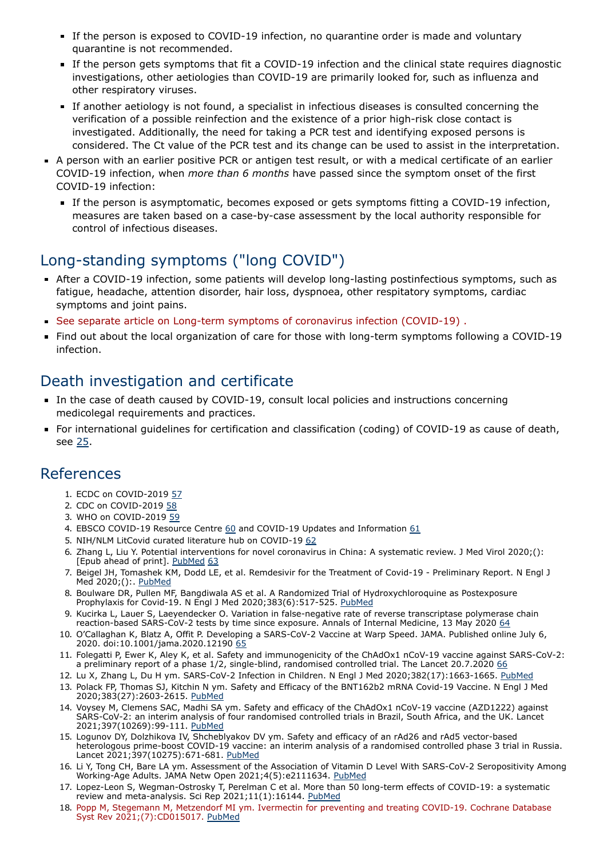- If the person is exposed to COVID-19 infection, no quarantine order is made and voluntary quarantine is not recommended.
- If the person gets symptoms that fit a COVID-19 infection and the clinical state requires diagnostic investigations, other aetiologies than COVID-19 are primarily looked for, such as influenza and other respiratory viruses.
- If another aetiology is not found, a specialist in infectious diseases is consulted concerning the verification of a possible reinfection and the existence of a prior high-risk close contact is investigated. Additionally, the need for taking a PCR test and identifying exposed persons is considered. The Ct value of the PCR test and its change can be used to assist in the interpretation.
- A person with an earlier positive PCR or antigen test result, or with a medical certificate of an earlier COVID-19 infection, when more than 6 months have passed since the symptom onset of the first COVID-19 infection:
	- If the person is asymptomatic, becomes exposed or gets symptoms fitting a COVID-19 infection, measures are taken based on a case-by-case assessment by the local authority responsible for control of infectious diseases.

## Long-standing symptoms ("long COVID")

- After a COVID-19 infection, some patients will develop long-lasting postinfectious symptoms, such as fatigue, headache, attention disorder, hair loss, dyspnoea, other respitatory symptoms, cardiac symptoms and joint pains.
- See separate article on Long-term symptoms of coronavirus infection (COVID-19) .
- Find out about the local organization of care for those with long-term symptoms following a COVID-19 infection.

### Death investigation and certificate

- In the case of death caused by COVID-19, consult local policies and instructions concerning medicolegal requirements and practices.
- For international guidelines for certification and classification (coding) of COVID-19 as cause of death, see [25.](https://www.who.int/classifications/icd/covid19/en/)

### References

- 1. ECDC on COVID-2019 [57](https://www.ecdc.europa.eu/en/novel-coronavirus-china)
- 2. CDC on COVID-2019 [58](https://www.cdc.gov/coronavirus/2019-ncov/index.html)
- 3. WHO on COVID-2019 [59](https://www.who.int/westernpacific/emergencies/novel-coronavirus)
- 4. EBSCO COVID-19 Resource Centre  $60$  and COVID-19 Updates and Information  $61$
- 5. NIH/NLM LitCovid curated literature hub on COVID-19 [62](https://www.ncbi.nlm.nih.gov/research/coronavirus/)
- 6. Zhang L, Liu Y. Potential interventions for novel coronavirus in China: A systematic review. J Med Virol 2020;(): [Epub ahead of print]. [PubMed](http://www.ncbi.nlm.nih.gov/pubmed/32052466) [63](https://onlinelibrary.wiley.com/doi/full/10.1002/jmv.25707)
- 7. Beigel JH, Tomashek KM, Dodd LE, et al. Remdesivir for the Treatment of Covid-19 Preliminary Report. N Engl J Med 2020;(): [PubMed](http://www.ncbi.nlm.nih.gov/pubmed/32445440)
- 8. Boulware DR, Pullen MF, Bangdiwala AS et al. A Randomized Trial of Hydroxychloroquine as Postexposure Prophylaxis for Covid-19. N Engl J Med 2020;383(6):517-525. [PubMed](http://www.ncbi.nlm.nih.gov/pubmed/32492293)
- <span id="page-10-1"></span>9. Kucirka L, Lauer S, Laeyendecker O. Variation in false-negative rate of reverse transcriptase polymerase chain reaction-based SARS-CoV-2 tests by time since exposure. Annals of Internal Medicine, 13 May 2020 [64](https://doi.org/10.7326/M20-1495)
- 10. O'Callaghan K, Blatz A, Offit P. Developing a SARS-CoV-2 Vaccine at Warp Speed. JAMA. Published online July 6, 2020. doi:10.1001/jama.2020.12190 [65](https://jamanetwork.com/journals/jama/fullarticle/2768155?guestAccessKey=45fbb871-b6cc-4599-b191-c57d248525dd&utm_source=silverchair&utm_medium=email&utm_campaign=article_alert-jama&utm_content=olf&utm_term=070620)
- 11. Folegatti P, Ewer K, Aley K, et al. Safety and immunogenicity of the ChAdOx1 nCoV-19 vaccine against SARS-CoV-2: a preliminary report of a phase 1/2, single-blind, randomised controlled trial. The Lancet 20.7.2020 [66](https://www.thelancet.com/journals/lancet/article/PIIS0140-6736(20)31604-4/fulltext)
- <span id="page-10-0"></span>12. Lu X, Zhang L, Du H ym. SARS-CoV-2 Infection in Children. N Engl J Med 2020;382(17):1663-1665. [PubMed](http://www.ncbi.nlm.nih.gov/pubmed/32187458)
- <span id="page-10-3"></span>13. Polack FP, Thomas SJ, Kitchin N ym. Safety and Efficacy of the BNT162b2 mRNA Covid-19 Vaccine. N Engl J Med 2020;383(27):2603-2615. [PubMed](http://www.ncbi.nlm.nih.gov/pubmed/33301246)
- <span id="page-10-4"></span>14. Voysey M, Clemens SAC, Madhi SA ym. Safety and efficacy of the ChAdOx1 nCoV-19 vaccine (AZD1222) against SARS-CoV-2: an interim analysis of four randomised controlled trials in Brazil, South Africa, and the UK. Lancet 2021;397(10269):99-111. [PubMed](http://www.ncbi.nlm.nih.gov/pubmed/33306989)
- <span id="page-10-5"></span>15. Logunov DY, Dolzhikova IV, Shcheblyakov DV ym. Safety and efficacy of an rAd26 and rAd5 vector-based heterologous prime-boost COVID-19 vaccine: an interim analysis of a randomised controlled phase 3 trial in Russia. Lancet 2021;397(10275):671-681. [PubMed](http://www.ncbi.nlm.nih.gov/pubmed/33545094)
- 16. Li Y, Tong CH, Bare LA ym. Assessment of the Association of Vitamin D Level With SARS-CoV-2 Seropositivity Among Working-Age Adults. JAMA Netw Open 2021;4(5):e2111634. [PubMed](http://www.ncbi.nlm.nih.gov/pubmed/34009346)
- 17. Lopez-Leon S, Wegman-Ostrosky T, Perelman C et al. More than 50 long-term effects of COVID-19: a systematic review and meta-analysis. Sci Rep 2021;11(1):16144. [PubMed](http://www.ncbi.nlm.nih.gov/pubmed/34373540)
- <span id="page-10-2"></span>18. Popp M, Stegemann M, Metzendorf MI ym. Ivermectin for preventing and treating COVID-19. Cochrane Database Syst Rev 2021;(7):CD015017. [PubMed](http://www.ncbi.nlm.nih.gov/pubmed/34318930)